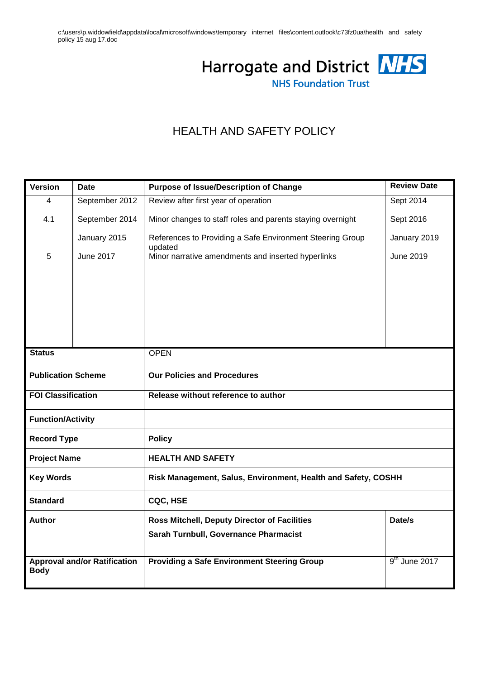c:\users\p.widdowfield\appdata\local\microsoft\windows\temporary internet files\content.outlook\c73fz0ua\health and safety policy 15 aug 17.doc



# HEALTH AND SAFETY POLICY

| <b>Version</b>                      | <b>Date</b>      | <b>Purpose of Issue/Description of Change</b>                 | <b>Review Date</b> |  |  |
|-------------------------------------|------------------|---------------------------------------------------------------|--------------------|--|--|
| 4                                   | September 2012   | Review after first year of operation                          | Sept 2014          |  |  |
| 4.1                                 | September 2014   | Minor changes to staff roles and parents staying overnight    | Sept 2016          |  |  |
|                                     | January 2015     | References to Providing a Safe Environment Steering Group     | January 2019       |  |  |
| 5                                   | <b>June 2017</b> | updated<br>Minor narrative amendments and inserted hyperlinks | June 2019          |  |  |
|                                     |                  |                                                               |                    |  |  |
|                                     |                  |                                                               |                    |  |  |
|                                     |                  |                                                               |                    |  |  |
|                                     |                  |                                                               |                    |  |  |
|                                     |                  |                                                               |                    |  |  |
| <b>Status</b>                       |                  | <b>OPEN</b>                                                   |                    |  |  |
| <b>Publication Scheme</b>           |                  | <b>Our Policies and Procedures</b>                            |                    |  |  |
| <b>FOI Classification</b>           |                  | Release without reference to author                           |                    |  |  |
| <b>Function/Activity</b>            |                  |                                                               |                    |  |  |
| <b>Record Type</b>                  |                  | <b>Policy</b>                                                 |                    |  |  |
| <b>Project Name</b>                 |                  | <b>HEALTH AND SAFETY</b>                                      |                    |  |  |
| <b>Key Words</b>                    |                  | Risk Management, Salus, Environment, Health and Safety, COSHH |                    |  |  |
| <b>Standard</b>                     |                  | CQC, HSE                                                      |                    |  |  |
| <b>Author</b>                       |                  | Date/s<br><b>Ross Mitchell, Deputy Director of Facilities</b> |                    |  |  |
|                                     |                  | Sarah Turnbull, Governance Pharmacist                         |                    |  |  |
| <b>Approval and/or Ratification</b> |                  | <b>Providing a Safe Environment Steering Group</b>            | $9th$ June 2017    |  |  |
| <b>Body</b>                         |                  |                                                               |                    |  |  |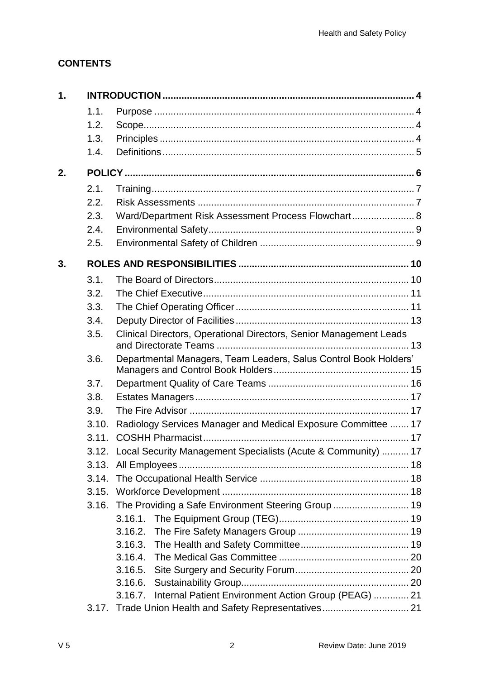# **CONTENTS**

| 1. |       |                                                                     |  |  |  |  |
|----|-------|---------------------------------------------------------------------|--|--|--|--|
|    | 1.1.  |                                                                     |  |  |  |  |
|    | 1.2.  |                                                                     |  |  |  |  |
|    | 1.3.  |                                                                     |  |  |  |  |
|    | 1.4.  |                                                                     |  |  |  |  |
| 2. |       |                                                                     |  |  |  |  |
|    | 2.1.  |                                                                     |  |  |  |  |
|    | 2.2.  |                                                                     |  |  |  |  |
|    | 2.3.  | Ward/Department Risk Assessment Process Flowchart 8                 |  |  |  |  |
|    | 2.4.  |                                                                     |  |  |  |  |
|    | 2.5.  |                                                                     |  |  |  |  |
| 3. |       |                                                                     |  |  |  |  |
|    | 3.1.  |                                                                     |  |  |  |  |
|    | 3.2.  |                                                                     |  |  |  |  |
|    | 3.3.  |                                                                     |  |  |  |  |
|    | 3.4.  |                                                                     |  |  |  |  |
|    | 3.5.  | Clinical Directors, Operational Directors, Senior Management Leads  |  |  |  |  |
|    | 3.6.  | Departmental Managers, Team Leaders, Salus Control Book Holders'    |  |  |  |  |
|    | 3.7.  |                                                                     |  |  |  |  |
|    | 3.8.  |                                                                     |  |  |  |  |
|    | 3.9.  |                                                                     |  |  |  |  |
|    | 3.10. | Radiology Services Manager and Medical Exposure Committee  17       |  |  |  |  |
|    | 3.11. |                                                                     |  |  |  |  |
|    |       | 3.12. Local Security Management Specialists (Acute & Community)  17 |  |  |  |  |
|    | 3.13. |                                                                     |  |  |  |  |
|    | 3.14. |                                                                     |  |  |  |  |
|    | 3.15. |                                                                     |  |  |  |  |
|    | 3.16. | The Providing a Safe Environment Steering Group  19                 |  |  |  |  |
|    |       | 3.16.1.                                                             |  |  |  |  |
|    |       | 3.16.2.                                                             |  |  |  |  |
|    |       | 3.16.3.                                                             |  |  |  |  |
|    |       | 3.16.4.                                                             |  |  |  |  |
|    |       | 3.16.5.                                                             |  |  |  |  |
|    |       | 3.16.6.                                                             |  |  |  |  |
|    |       | Internal Patient Environment Action Group (PEAG)  21<br>3.16.7.     |  |  |  |  |
|    | 3.17. |                                                                     |  |  |  |  |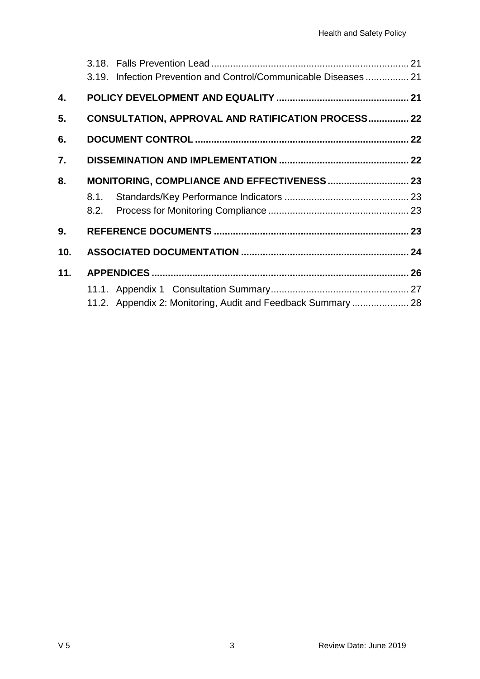|     | 3.19. Infection Prevention and Control/Communicable Diseases  21 |  |
|-----|------------------------------------------------------------------|--|
|     |                                                                  |  |
| 4.  |                                                                  |  |
| 5.  | <b>CONSULTATION, APPROVAL AND RATIFICATION PROCESS 22</b>        |  |
| 6.  |                                                                  |  |
| 7.  |                                                                  |  |
| 8.  |                                                                  |  |
|     | 8.1.                                                             |  |
|     | 8.2.                                                             |  |
| 9.  |                                                                  |  |
| 10. |                                                                  |  |
| 11. |                                                                  |  |
|     |                                                                  |  |
|     | 11.2. Appendix 2: Monitoring, Audit and Feedback Summary  28     |  |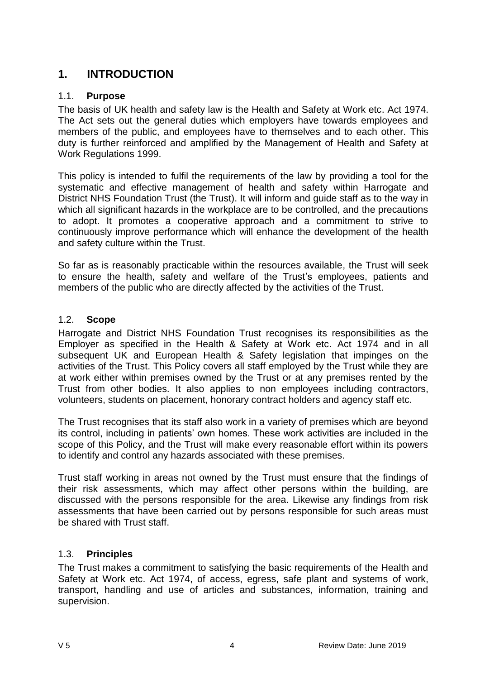# <span id="page-3-0"></span>**1. INTRODUCTION**

# <span id="page-3-1"></span>1.1. **Purpose**

The basis of UK health and safety law is the Health and Safety at Work etc. Act 1974. The Act sets out the general duties which employers have towards employees and members of the public, and employees have to themselves and to each other. This duty is further reinforced and amplified by the Management of Health and Safety at Work Regulations 1999.

This policy is intended to fulfil the requirements of the law by providing a tool for the systematic and effective management of health and safety within Harrogate and District NHS Foundation Trust (the Trust). It will inform and guide staff as to the way in which all significant hazards in the workplace are to be controlled, and the precautions to adopt. It promotes a cooperative approach and a commitment to strive to continuously improve performance which will enhance the development of the health and safety culture within the Trust.

So far as is reasonably practicable within the resources available, the Trust will seek to ensure the health, safety and welfare of the Trust's employees, patients and members of the public who are directly affected by the activities of the Trust.

# <span id="page-3-2"></span>1.2. **Scope**

Harrogate and District NHS Foundation Trust recognises its responsibilities as the Employer as specified in the Health & Safety at Work etc. Act 1974 and in all subsequent UK and European Health & Safety legislation that impinges on the activities of the Trust. This Policy covers all staff employed by the Trust while they are at work either within premises owned by the Trust or at any premises rented by the Trust from other bodies. It also applies to non employees including contractors, volunteers, students on placement, honorary contract holders and agency staff etc.

The Trust recognises that its staff also work in a variety of premises which are beyond its control, including in patients' own homes. These work activities are included in the scope of this Policy, and the Trust will make every reasonable effort within its powers to identify and control any hazards associated with these premises.

Trust staff working in areas not owned by the Trust must ensure that the findings of their risk assessments, which may affect other persons within the building, are discussed with the persons responsible for the area. Likewise any findings from risk assessments that have been carried out by persons responsible for such areas must be shared with Trust staff.

# <span id="page-3-3"></span>1.3. **Principles**

The Trust makes a commitment to satisfying the basic requirements of the Health and Safety at Work etc. Act 1974, of access, egress, safe plant and systems of work, transport, handling and use of articles and substances, information, training and supervision.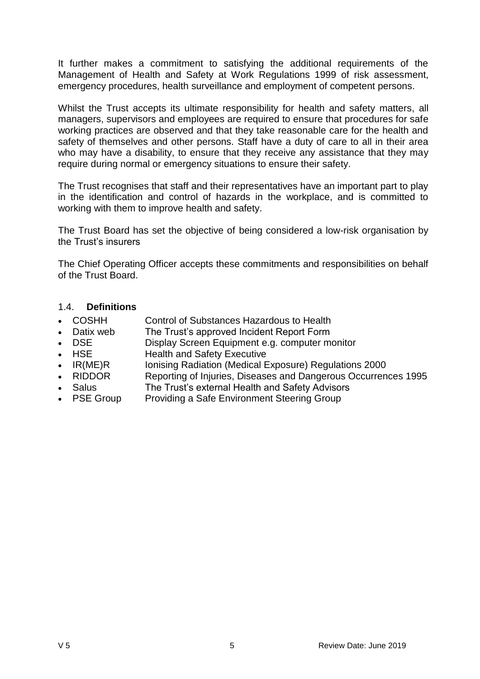It further makes a commitment to satisfying the additional requirements of the Management of Health and Safety at Work Regulations 1999 of risk assessment, emergency procedures, health surveillance and employment of competent persons.

Whilst the Trust accepts its ultimate responsibility for health and safety matters, all managers, supervisors and employees are required to ensure that procedures for safe working practices are observed and that they take reasonable care for the health and safety of themselves and other persons. Staff have a duty of care to all in their area who may have a disability, to ensure that they receive any assistance that they may require during normal or emergency situations to ensure their safety.

The Trust recognises that staff and their representatives have an important part to play in the identification and control of hazards in the workplace, and is committed to working with them to improve health and safety.

The Trust Board has set the objective of being considered a low-risk organisation by the Trust's insurers

The Chief Operating Officer accepts these commitments and responsibilities on behalf of the Trust Board.

#### <span id="page-4-0"></span>1.4. **Definitions**

- COSHH Control of Substances Hazardous to Health
- Datix web The Trust's approved Incident Report Form
- DSE Display Screen Equipment e.g. computer monitor
- HSE Health and Safety Executive
- IR(ME)R Ionising Radiation (Medical Exposure) Regulations 2000
- RIDDOR Reporting of Injuries, Diseases and Dangerous Occurrences 1995
- Salus **The Trust's external Health and Safety Advisors**
- PSE Group Providing a Safe Environment Steering Group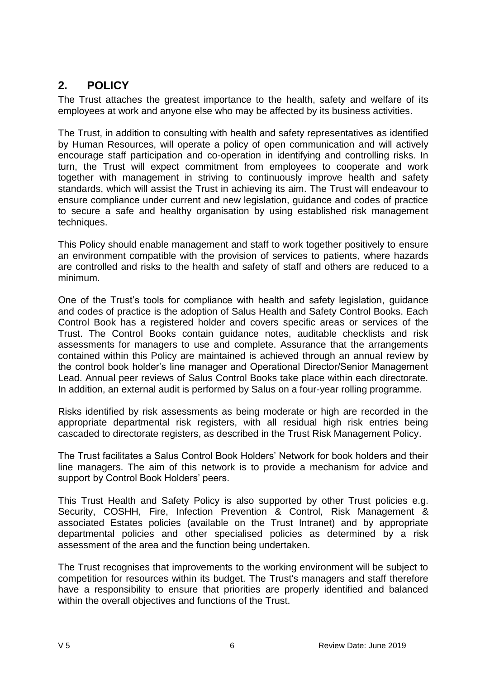# <span id="page-5-0"></span>**2. POLICY**

The Trust attaches the greatest importance to the health, safety and welfare of its employees at work and anyone else who may be affected by its business activities.

The Trust, in addition to consulting with health and safety representatives as identified by Human Resources, will operate a policy of open communication and will actively encourage staff participation and co-operation in identifying and controlling risks. In turn, the Trust will expect commitment from employees to cooperate and work together with management in striving to continuously improve health and safety standards, which will assist the Trust in achieving its aim. The Trust will endeavour to ensure compliance under current and new legislation, guidance and codes of practice to secure a safe and healthy organisation by using established risk management techniques.

This Policy should enable management and staff to work together positively to ensure an environment compatible with the provision of services to patients, where hazards are controlled and risks to the health and safety of staff and others are reduced to a minimum.

One of the Trust's tools for compliance with health and safety legislation, guidance and codes of practice is the adoption of Salus Health and Safety Control Books. Each Control Book has a registered holder and covers specific areas or services of the Trust. The Control Books contain guidance notes, auditable checklists and risk assessments for managers to use and complete. Assurance that the arrangements contained within this Policy are maintained is achieved through an annual review by the control book holder's line manager and Operational Director/Senior Management Lead. Annual peer reviews of Salus Control Books take place within each directorate. In addition, an external audit is performed by Salus on a four-year rolling programme.

Risks identified by risk assessments as being moderate or high are recorded in the appropriate departmental risk registers, with all residual high risk entries being cascaded to directorate registers, as described in the Trust Risk Management Policy.

The Trust facilitates a Salus Control Book Holders' Network for book holders and their line managers. The aim of this network is to provide a mechanism for advice and support by Control Book Holders' peers.

This Trust Health and Safety Policy is also supported by other Trust policies e.g. Security, COSHH, Fire, Infection Prevention & Control, Risk Management & associated Estates policies (available on the Trust Intranet) and by appropriate departmental policies and other specialised policies as determined by a risk assessment of the area and the function being undertaken.

The Trust recognises that improvements to the working environment will be subject to competition for resources within its budget. The Trust's managers and staff therefore have a responsibility to ensure that priorities are properly identified and balanced within the overall objectives and functions of the Trust.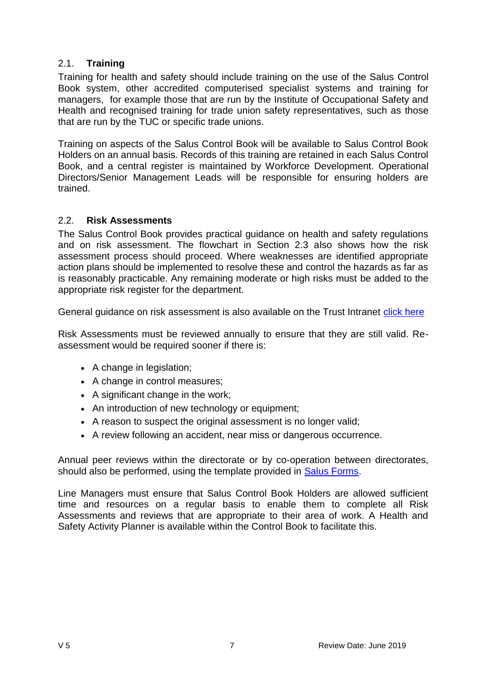# <span id="page-6-0"></span>2.1. **Training**

Training for health and safety should include training on the use of the Salus Control Book system, other accredited computerised specialist systems and training for managers, for example those that are run by the Institute of Occupational Safety and Health and recognised training for trade union safety representatives, such as those that are run by the TUC or specific trade unions.

Training on aspects of the Salus Control Book will be available to Salus Control Book Holders on an annual basis. Records of this training are retained in each Salus Control Book, and a central register is maintained by Workforce Development. Operational Directors/Senior Management Leads will be responsible for ensuring holders are trained.

# <span id="page-6-1"></span>2.2. **Risk Assessments**

The Salus Control Book provides practical guidance on health and safety regulations and on risk assessment. The flowchart in Section 2.3 also shows how the risk assessment process should proceed. Where weaknesses are identified appropriate action plans should be implemented to resolve these and control the hazards as far as is reasonably practicable. Any remaining moderate or high risks must be added to the appropriate risk register for the department.

General guidance on risk assessment is also available on the Trust Intranet [click here](http://nww.hdft.nhs.uk/EasysiteWeb/getresource.axd?AssetID=35706&type=full&servicetype=Attachment)

Risk Assessments must be reviewed annually to ensure that they are still valid. Reassessment would be required sooner if there is:

- A change in legislation;
- A change in control measures;
- A significant change in the work;
- An introduction of new technology or equipment;
- A reason to suspect the original assessment is no longer valid;
- A review following an accident, near miss or dangerous occurrence.

Annual peer reviews within the directorate or by co-operation between directorates, should also be performed, using the template provided in **Salus Forms**.

Line Managers must ensure that Salus Control Book Holders are allowed sufficient time and resources on a regular basis to enable them to complete all Risk Assessments and reviews that are appropriate to their area of work. A Health and Safety Activity Planner is available within the Control Book to facilitate this.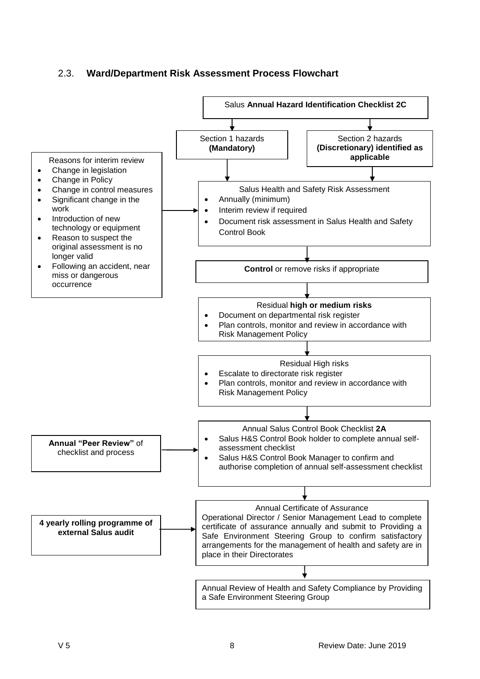# <span id="page-7-0"></span>2.3. **Ward/Department Risk Assessment Process Flowchart**

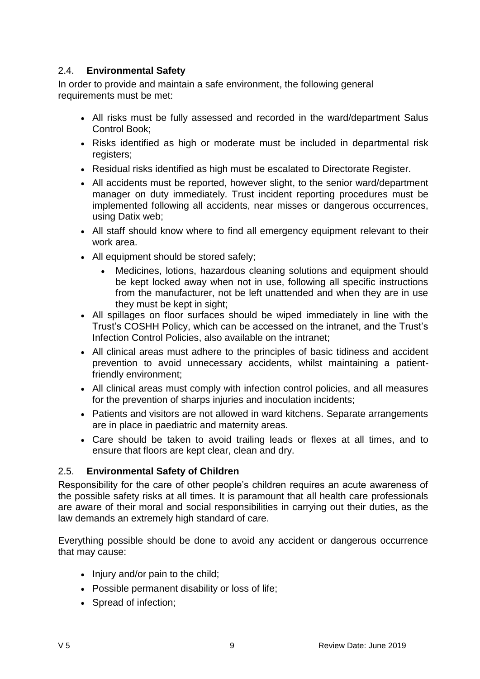# <span id="page-8-0"></span>2.4. **Environmental Safety**

In order to provide and maintain a safe environment, the following general requirements must be met:

- All risks must be fully assessed and recorded in the ward/department Salus Control Book;
- Risks identified as high or moderate must be included in departmental risk registers;
- Residual risks identified as high must be escalated to Directorate Register.
- All accidents must be reported, however slight, to the senior ward/department manager on duty immediately. Trust incident reporting procedures must be implemented following all accidents, near misses or dangerous occurrences, using Datix web;
- All staff should know where to find all emergency equipment relevant to their work area.
- All equipment should be stored safely;
	- Medicines, lotions, hazardous cleaning solutions and equipment should be kept locked away when not in use, following all specific instructions from the manufacturer, not be left unattended and when they are in use they must be kept in sight;
- All spillages on floor surfaces should be wiped immediately in line with the Trust's [COSHH Policy,](http://nww.hdft.nhs.uk/EasysiteWeb/getresource.axd?AssetID=7120&type=full&servicetype=Attachment) which can be accessed on the intranet, and the Trust's [Infection Control Policies,](http://nww.hdft.nhs.uk/clinical-support-and-cancer-services/infection-prevention-and-control/hospital-resources/hospital-infection-control-policies/) also available on the intranet;
- All clinical areas must adhere to the principles of basic tidiness and accident prevention to avoid unnecessary accidents, whilst maintaining a patientfriendly environment;
- All clinical areas must comply with infection control policies, and all measures for the prevention of sharps injuries and inoculation incidents;
- Patients and visitors are not allowed in ward kitchens. Separate arrangements are in place in paediatric and maternity areas.
- Care should be taken to avoid trailing leads or flexes at all times, and to ensure that floors are kept clear, clean and dry.

# <span id="page-8-1"></span>2.5. **Environmental Safety of Children**

Responsibility for the care of other people's children requires an acute awareness of the possible safety risks at all times. It is paramount that all health care professionals are aware of their moral and social responsibilities in carrying out their duties, as the law demands an extremely high standard of care.

Everything possible should be done to avoid any accident or dangerous occurrence that may cause:

- $\bullet$  Injury and/or pain to the child;
- Possible permanent disability or loss of life;
- Spread of infection;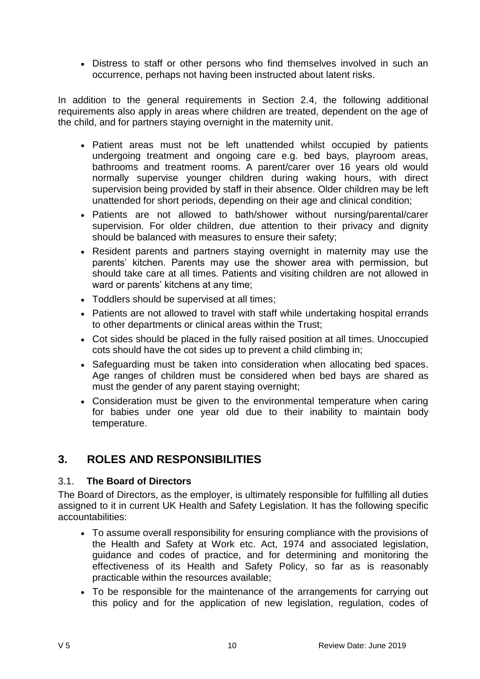Distress to staff or other persons who find themselves involved in such an occurrence, perhaps not having been instructed about latent risks.

In addition to the general requirements in Section 2.4, the following additional requirements also apply in areas where children are treated, dependent on the age of the child, and for partners staying overnight in the maternity unit.

- Patient areas must not be left unattended whilst occupied by patients undergoing treatment and ongoing care e.g. bed bays, playroom areas, bathrooms and treatment rooms. A parent/carer over 16 years old would normally supervise younger children during waking hours, with direct supervision being provided by staff in their absence. Older children may be left unattended for short periods, depending on their age and clinical condition;
- Patients are not allowed to bath/shower without nursing/parental/carer supervision. For older children, due attention to their privacy and dignity should be balanced with measures to ensure their safety;
- Resident parents and partners staying overnight in maternity may use the parents' kitchen. Parents may use the shower area with permission, but should take care at all times. Patients and visiting children are not allowed in ward or parents' kitchens at any time;
- Toddlers should be supervised at all times;
- Patients are not allowed to travel with staff while undertaking hospital errands to other departments or clinical areas within the Trust;
- Cot sides should be placed in the fully raised position at all times. Unoccupied cots should have the cot sides up to prevent a child climbing in;
- Safeguarding must be taken into consideration when allocating bed spaces. Age ranges of children must be considered when bed bays are shared as must the gender of any parent staying overnight;
- Consideration must be given to the environmental temperature when caring for babies under one year old due to their inability to maintain body temperature.

# <span id="page-9-0"></span>**3. ROLES AND RESPONSIBILITIES**

#### <span id="page-9-1"></span>3.1. **The Board of Directors**

The Board of Directors, as the employer, is ultimately responsible for fulfilling all duties assigned to it in current UK Health and Safety Legislation. It has the following specific accountabilities:

- To assume overall responsibility for ensuring compliance with the provisions of the Health and Safety at Work etc. Act, 1974 and associated legislation, guidance and codes of practice, and for determining and monitoring the effectiveness of its Health and Safety Policy, so far as is reasonably practicable within the resources available;
- To be responsible for the maintenance of the arrangements for carrying out this policy and for the application of new legislation, regulation, codes of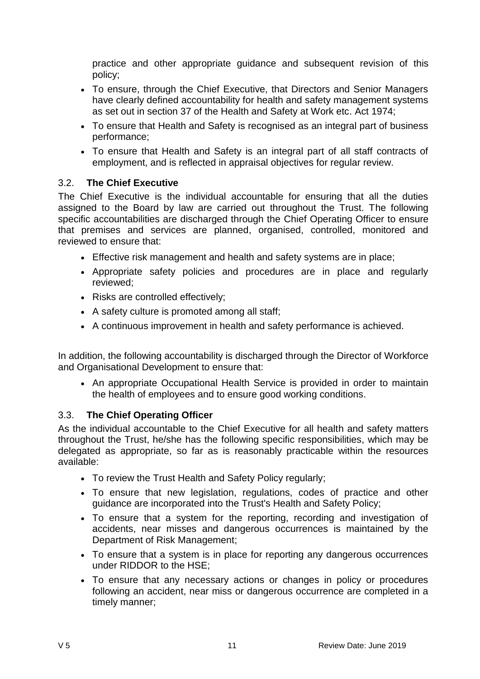practice and other appropriate guidance and subsequent revision of this policy;

- To ensure, through the Chief Executive, that Directors and Senior Managers have clearly defined accountability for health and safety management systems as set out in section 37 of the Health and Safety at Work etc. Act 1974;
- To ensure that Health and Safety is recognised as an integral part of business performance;
- To ensure that Health and Safety is an integral part of all staff contracts of employment, and is reflected in appraisal objectives for regular review.

# <span id="page-10-0"></span>3.2. **The Chief Executive**

The Chief Executive is the individual accountable for ensuring that all the duties assigned to the Board by law are carried out throughout the Trust. The following specific accountabilities are discharged through the Chief Operating Officer to ensure that premises and services are planned, organised, controlled, monitored and reviewed to ensure that:

- Effective risk management and health and safety systems are in place;
- Appropriate safety policies and procedures are in place and regularly reviewed;
- Risks are controlled effectively;
- A safety culture is promoted among all staff;
- A continuous improvement in health and safety performance is achieved.

In addition, the following accountability is discharged through the Director of Workforce and Organisational Development to ensure that:

• An appropriate Occupational Health Service is provided in order to maintain the health of employees and to ensure good working conditions.

# <span id="page-10-1"></span>3.3. **The Chief Operating Officer**

As the individual accountable to the Chief Executive for all health and safety matters throughout the Trust, he/she has the following specific responsibilities, which may be delegated as appropriate, so far as is reasonably practicable within the resources available:

- To review the Trust Health and Safety Policy regularly;
- To ensure that new legislation, regulations, codes of practice and other guidance are incorporated into the Trust's Health and Safety Policy;
- To ensure that a system for the reporting, recording and investigation of accidents, near misses and dangerous occurrences is maintained by the Department of Risk Management;
- To ensure that a system is in place for reporting any dangerous occurrences under RIDDOR to the HSE;
- To ensure that any necessary actions or changes in policy or procedures following an accident, near miss or dangerous occurrence are completed in a timely manner;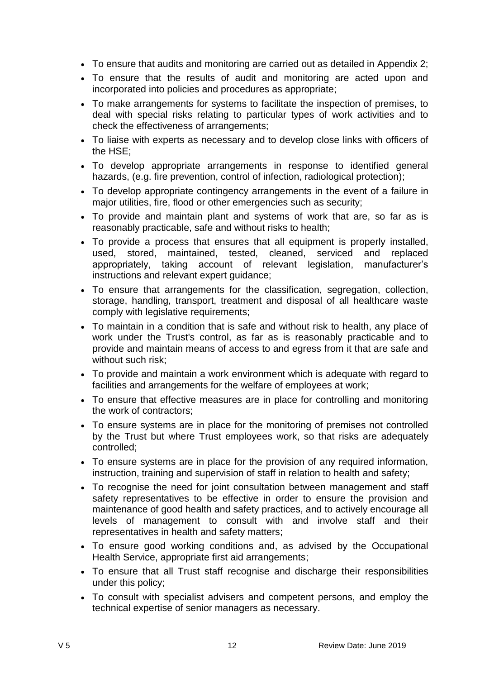- To ensure that audits and monitoring are carried out as detailed in Appendix 2;
- To ensure that the results of audit and monitoring are acted upon and incorporated into policies and procedures as appropriate;
- To make arrangements for systems to facilitate the inspection of premises, to deal with special risks relating to particular types of work activities and to check the effectiveness of arrangements;
- To liaise with experts as necessary and to develop close links with officers of the HSE;
- To develop appropriate arrangements in response to identified general hazards, (e.g. fire prevention, control of infection, radiological protection);
- To develop appropriate contingency arrangements in the event of a failure in major utilities, fire, flood or other emergencies such as security;
- To provide and maintain plant and systems of work that are, so far as is reasonably practicable, safe and without risks to health;
- To provide a process that ensures that all equipment is properly installed, used, stored, maintained, tested, cleaned, serviced and replaced appropriately, taking account of relevant legislation, manufacturer's instructions and relevant expert guidance;
- To ensure that arrangements for the classification, segregation, collection, storage, handling, transport, treatment and disposal of all healthcare waste comply with legislative requirements;
- To maintain in a condition that is safe and without risk to health, any place of work under the Trust's control, as far as is reasonably practicable and to provide and maintain means of access to and egress from it that are safe and without such risk;
- To provide and maintain a work environment which is adequate with regard to facilities and arrangements for the welfare of employees at work;
- To ensure that effective measures are in place for controlling and monitoring the work of contractors;
- To ensure systems are in place for the monitoring of premises not controlled by the Trust but where Trust employees work, so that risks are adequately controlled;
- To ensure systems are in place for the provision of any required information, instruction, training and supervision of staff in relation to health and safety;
- To recognise the need for joint consultation between management and staff safety representatives to be effective in order to ensure the provision and maintenance of good health and safety practices, and to actively encourage all levels of management to consult with and involve staff and their representatives in health and safety matters;
- To ensure good working conditions and, as advised by the Occupational Health Service, appropriate first aid arrangements;
- To ensure that all Trust staff recognise and discharge their responsibilities under this policy;
- To consult with specialist advisers and competent persons, and employ the technical expertise of senior managers as necessary.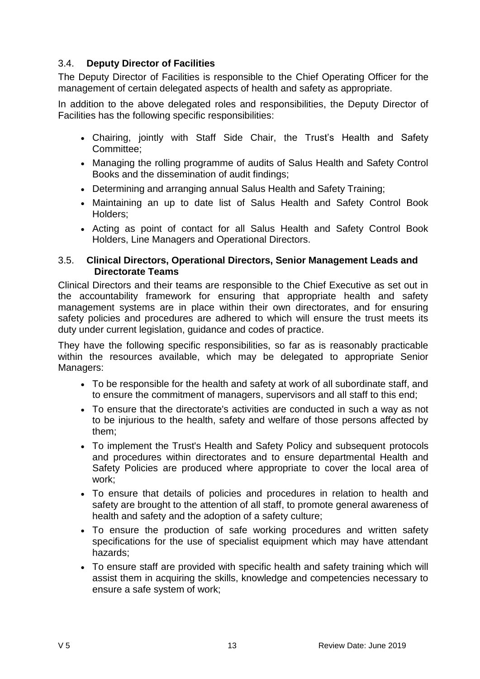# <span id="page-12-0"></span>3.4. **Deputy Director of Facilities**

The Deputy Director of Facilities is responsible to the Chief Operating Officer for the management of certain delegated aspects of health and safety as appropriate.

In addition to the above delegated roles and responsibilities, the Deputy Director of Facilities has the following specific responsibilities:

- Chairing, jointly with Staff Side Chair, the Trust's Health and Safety Committee;
- Managing the rolling programme of audits of Salus Health and Safety Control Books and the dissemination of audit findings;
- Determining and arranging annual Salus Health and Safety Training;
- Maintaining an up to date list of Salus Health and Safety Control Book Holders;
- Acting as point of contact for all Salus Health and Safety Control Book Holders, Line Managers and Operational Directors.

#### <span id="page-12-1"></span>3.5. **Clinical Directors, Operational Directors, Senior Management Leads and Directorate Teams**

Clinical Directors and their teams are responsible to the Chief Executive as set out in the accountability framework for ensuring that appropriate health and safety management systems are in place within their own directorates, and for ensuring safety policies and procedures are adhered to which will ensure the trust meets its duty under current legislation, guidance and codes of practice.

They have the following specific responsibilities, so far as is reasonably practicable within the resources available, which may be delegated to appropriate Senior Managers:

- To be responsible for the health and safety at work of all subordinate staff, and to ensure the commitment of managers, supervisors and all staff to this end;
- To ensure that the directorate's activities are conducted in such a way as not to be injurious to the health, safety and welfare of those persons affected by them;
- To implement the Trust's Health and Safety Policy and subsequent protocols and procedures within directorates and to ensure departmental Health and Safety Policies are produced where appropriate to cover the local area of work;
- To ensure that details of policies and procedures in relation to health and safety are brought to the attention of all staff, to promote general awareness of health and safety and the adoption of a safety culture;
- To ensure the production of safe working procedures and written safety specifications for the use of specialist equipment which may have attendant hazards;
- To ensure staff are provided with specific health and safety training which will assist them in acquiring the skills, knowledge and competencies necessary to ensure a safe system of work;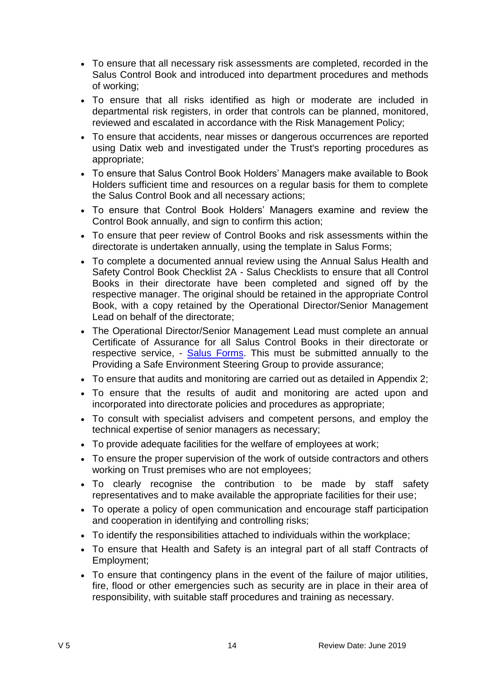- To ensure that all necessary risk assessments are completed, recorded in the Salus Control Book and introduced into department procedures and methods of working;
- To ensure that all risks identified as high or moderate are included in departmental risk registers, in order that controls can be planned, monitored, reviewed and escalated in accordance with the Risk Management Policy;
- To ensure that accidents, near misses or dangerous occurrences are reported using Datix web and investigated under the Trust's reporting procedures as appropriate;
- To ensure that Salus Control Book Holders' Managers make available to Book Holders sufficient time and resources on a regular basis for them to complete the Salus Control Book and all necessary actions;
- To ensure that Control Book Holders' Managers examine and review the Control Book annually, and sign to confirm this action;
- To ensure that peer review of Control Books and risk assessments within the directorate is undertaken annually, using the template in [Salus Forms;](http://nww.hdft.nhs.uk/trust-wide/health-and-safety)
- To complete a documented annual review using the Annual Salus Health and Safety Control Book Checklist 2A - [Salus Checklists](http://nww.hdft.nhs.uk/trust-wide/health-and-safety) to ensure that all Control Books in their directorate have been completed and signed off by the respective manager. The original should be retained in the appropriate Control Book, with a copy retained by the Operational Director/Senior Management Lead on behalf of the directorate;
- The Operational Director/Senior Management Lead must complete an annual Certificate of Assurance for all Salus Control Books in their directorate or respective service, - [Salus Forms.](http://nww.hdft.nhs.uk/trust-wide/health-and-safety/salus-forms/) This must be submitted annually to the Providing a Safe Environment Steering Group to provide assurance;
- To ensure that audits and monitoring are carried out as detailed in Appendix 2;
- To ensure that the results of audit and monitoring are acted upon and incorporated into directorate policies and procedures as appropriate;
- To consult with specialist advisers and competent persons, and employ the technical expertise of senior managers as necessary;
- To provide adequate facilities for the welfare of employees at work;
- To ensure the proper supervision of the work of outside contractors and others working on Trust premises who are not employees;
- To clearly recognise the contribution to be made by staff safety representatives and to make available the appropriate facilities for their use;
- To operate a policy of open communication and encourage staff participation and cooperation in identifying and controlling risks;
- To identify the responsibilities attached to individuals within the workplace;
- To ensure that Health and Safety is an integral part of all staff Contracts of Employment;
- To ensure that contingency plans in the event of the failure of major utilities, fire, flood or other emergencies such as security are in place in their area of responsibility, with suitable staff procedures and training as necessary.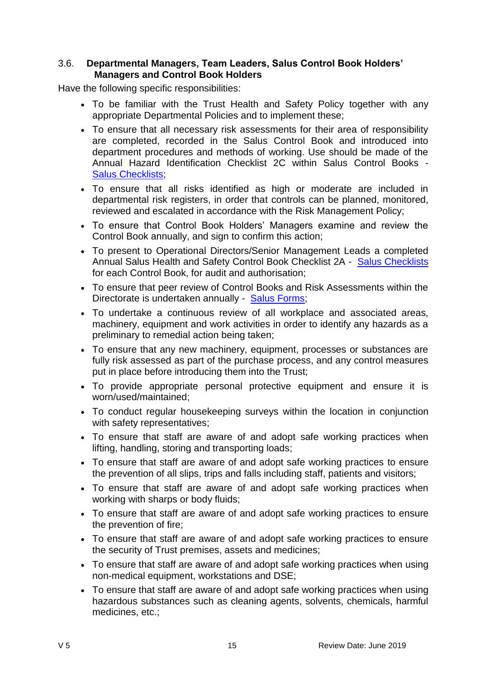#### <span id="page-14-0"></span>3.6. **Departmental Managers, Team Leaders, Salus Control Book Holders' Managers and Control Book Holders**

Have the following specific responsibilities:

- To be familiar with the Trust Health and Safety Policy together with any appropriate Departmental Policies and to implement these;
- To ensure that all necessary risk assessments for their area of responsibility are completed, recorded in the Salus Control Book and introduced into department procedures and methods of working. Use should be made of the Annual Hazard Identification Checklist 2C within Salus Control Books - [Salus Checklists;](http://nww.hdft.nhs.uk/trust-wide/health-and-safety/salus-checklists/)
- To ensure that all risks identified as high or moderate are included in departmental risk registers, in order that controls can be planned, monitored, reviewed and escalated in accordance with the Risk Management Policy;
- To ensure that Control Book Holders' Managers examine and review the Control Book annually, and sign to confirm this action;
- To present to Operational Directors/Senior Management Leads a completed Annual Salus Health and Safety Control Book Checklist 2A - [Salus Checklists](http://nww.hdft.nhs.uk/trust-wide/health-and-safety/salus-checklists/) for each Control Book, for audit and authorisation;
- To ensure that peer review of Control Books and Risk Assessments within the Directorate is undertaken annually - [Salus Forms;](http://nww.hdft.nhs.uk/trust-wide/health-and-safety/salus-forms/)
- To undertake a continuous review of all workplace and associated areas, machinery, equipment and work activities in order to identify any hazards as a preliminary to remedial action being taken;
- To ensure that any new machinery, equipment, processes or substances are fully risk assessed as part of the purchase process, and any control measures put in place before introducing them into the Trust;
- To provide appropriate personal protective equipment and ensure it is worn/used/maintained;
- To conduct regular housekeeping surveys within the location in conjunction with safety representatives;
- To ensure that staff are aware of and adopt safe working practices when lifting, handling, storing and transporting loads;
- To ensure that staff are aware of and adopt safe working practices to ensure the prevention of all slips, trips and falls including staff, patients and visitors;
- To ensure that staff are aware of and adopt safe working practices when working with sharps or body fluids;
- To ensure that staff are aware of and adopt safe working practices to ensure the prevention of fire;
- To ensure that staff are aware of and adopt safe working practices to ensure the security of Trust premises, assets and medicines;
- To ensure that staff are aware of and adopt safe working practices when using non-medical equipment, workstations and DSE;
- To ensure that staff are aware of and adopt safe working practices when using hazardous substances such as cleaning agents, solvents, chemicals, harmful medicines, etc.;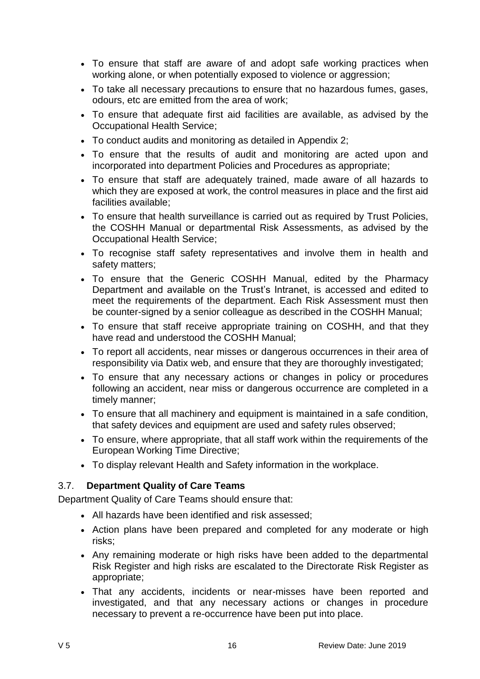- To ensure that staff are aware of and adopt safe working practices when working alone, or when potentially exposed to violence or aggression;
- To take all necessary precautions to ensure that no hazardous fumes, gases, odours, etc are emitted from the area of work;
- To ensure that adequate first aid facilities are available, as advised by the Occupational Health Service;
- To conduct audits and monitoring as detailed in Appendix 2;
- To ensure that the results of audit and monitoring are acted upon and incorporated into department Policies and Procedures as appropriate;
- To ensure that staff are adequately trained, made aware of all hazards to which they are exposed at work, the control measures in place and the first aid facilities available;
- To ensure that health surveillance is carried out as required by Trust Policies, the COSHH Manual or departmental Risk Assessments, as advised by the Occupational Health Service;
- To recognise staff safety representatives and involve them in health and safety matters;
- To ensure that the Generic COSHH Manual, edited by the Pharmacy Department and available on the Trust's Intranet, is accessed and edited to meet the requirements of the department. Each Risk Assessment must then be counter-signed by a senior colleague as described in the COSHH Manual;
- To ensure that staff receive appropriate training on COSHH, and that they have read and understood the COSHH Manual;
- To report all accidents, near misses or dangerous occurrences in their area of responsibility via Datix web, and ensure that they are thoroughly investigated;
- To ensure that any necessary actions or changes in policy or procedures following an accident, near miss or dangerous occurrence are completed in a timely manner;
- To ensure that all machinery and equipment is maintained in a safe condition, that safety devices and equipment are used and safety rules observed;
- To ensure, where appropriate, that all staff work within the requirements of the European Working Time Directive;
- To display relevant Health and Safety information in the workplace.

# <span id="page-15-0"></span>3.7. **Department Quality of Care Teams**

Department Quality of Care Teams should ensure that:

- All hazards have been identified and risk assessed;
- Action plans have been prepared and completed for any moderate or high risks;
- Any remaining moderate or high risks have been added to the departmental Risk Register and high risks are escalated to the Directorate Risk Register as appropriate;
- That any accidents, incidents or near-misses have been reported and investigated, and that any necessary actions or changes in procedure necessary to prevent a re-occurrence have been put into place.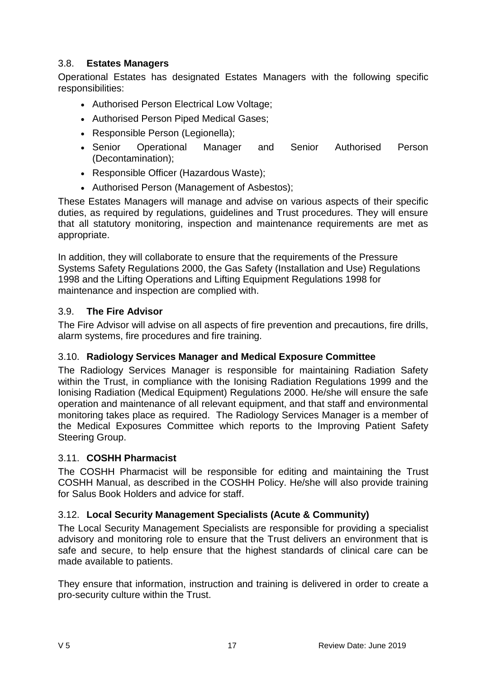# <span id="page-16-0"></span>3.8. **Estates Managers**

Operational Estates has designated Estates Managers with the following specific responsibilities:

- Authorised Person Electrical Low Voltage;
- Authorised Person Piped Medical Gases;
- Responsible Person (Legionella);
- Senior Operational Manager and Senior Authorised Person (Decontamination);
- Responsible Officer (Hazardous Waste);
- Authorised Person (Management of Asbestos);

These Estates Managers will manage and advise on various aspects of their specific duties, as required by regulations, guidelines and Trust procedures. They will ensure that all statutory monitoring, inspection and maintenance requirements are met as appropriate.

In addition, they will collaborate to ensure that the requirements of the Pressure Systems Safety Regulations 2000, the Gas Safety (Installation and Use) Regulations 1998 and the Lifting Operations and Lifting Equipment Regulations 1998 for maintenance and inspection are complied with.

# <span id="page-16-1"></span>3.9. **The Fire Advisor**

The Fire Advisor will advise on all aspects of fire prevention and precautions, fire drills, alarm systems, fire procedures and fire training.

# <span id="page-16-2"></span>3.10. **Radiology Services Manager and Medical Exposure Committee**

The Radiology Services Manager is responsible for maintaining Radiation Safety within the Trust, in compliance with the Ionising Radiation Regulations 1999 and the Ionising Radiation (Medical Equipment) Regulations 2000. He/she will ensure the safe operation and maintenance of all relevant equipment, and that staff and environmental monitoring takes place as required. The Radiology Services Manager is a member of the Medical Exposures Committee which reports to the Improving Patient Safety Steering Group.

# <span id="page-16-3"></span>3.11. **COSHH Pharmacist**

The COSHH Pharmacist will be responsible for editing and maintaining the Trust COSHH Manual, as described in the COSHH Policy. He/she will also provide training for Salus Book Holders and advice for staff.

# <span id="page-16-4"></span>3.12. **Local Security Management Specialists (Acute & Community)**

The Local Security Management Specialists are responsible for providing a specialist advisory and monitoring role to ensure that the Trust delivers an environment that is safe and secure, to help ensure that the highest standards of clinical care can be made available to patients.

They ensure that information, instruction and training is delivered in order to create a pro-security culture within the Trust.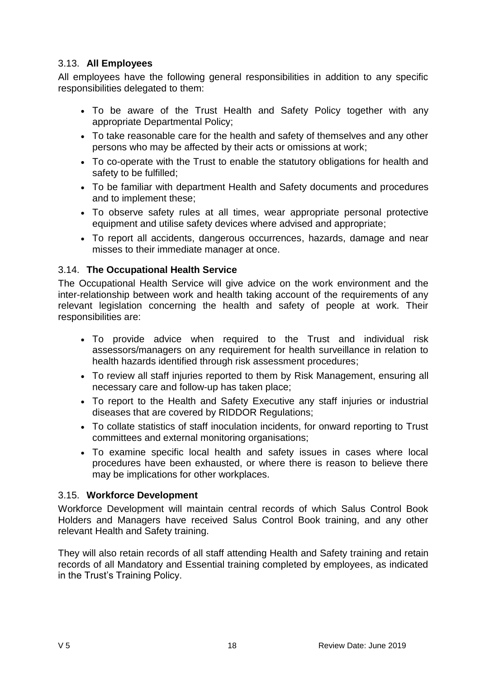# <span id="page-17-0"></span>3.13. **All Employees**

All employees have the following general responsibilities in addition to any specific responsibilities delegated to them:

- To be aware of the Trust Health and Safety Policy together with any appropriate Departmental Policy;
- To take reasonable care for the health and safety of themselves and any other persons who may be affected by their acts or omissions at work;
- To co-operate with the Trust to enable the statutory obligations for health and safety to be fulfilled;
- To be familiar with department Health and Safety documents and procedures and to implement these;
- To observe safety rules at all times, wear appropriate personal protective equipment and utilise safety devices where advised and appropriate;
- To report all accidents, dangerous occurrences, hazards, damage and near misses to their immediate manager at once.

# <span id="page-17-1"></span>3.14. **The Occupational Health Service**

The Occupational Health Service will give advice on the work environment and the inter-relationship between work and health taking account of the requirements of any relevant legislation concerning the health and safety of people at work. Their responsibilities are:

- To provide advice when required to the Trust and individual risk assessors/managers on any requirement for health surveillance in relation to health hazards identified through risk assessment procedures;
- To review all staff injuries reported to them by Risk Management, ensuring all necessary care and follow-up has taken place;
- To report to the Health and Safety Executive any staff injuries or industrial diseases that are covered by RIDDOR Regulations;
- To collate statistics of staff inoculation incidents, for onward reporting to Trust committees and external monitoring organisations;
- To examine specific local health and safety issues in cases where local procedures have been exhausted, or where there is reason to believe there may be implications for other workplaces.

#### <span id="page-17-2"></span>3.15. **Workforce Development**

Workforce Development will maintain central records of which Salus Control Book Holders and Managers have received Salus Control Book training, and any other relevant Health and Safety training.

They will also retain records of all staff attending Health and Safety training and retain records of all Mandatory and Essential training completed by employees, as indicated in the Trust's Training Policy.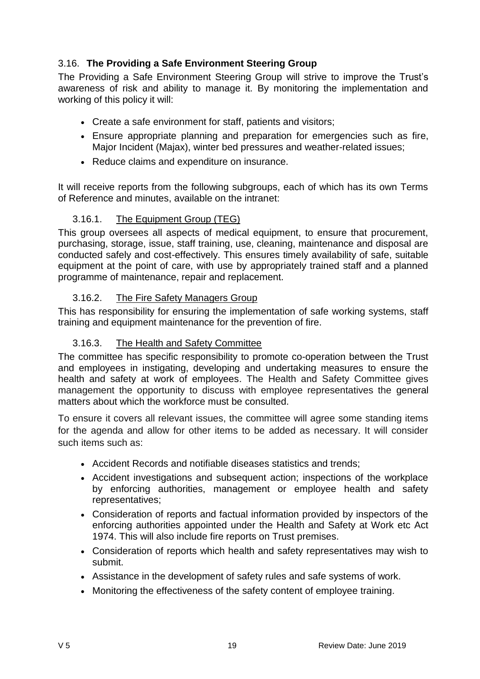# <span id="page-18-0"></span>3.16. **The Providing a Safe Environment Steering Group**

The Providing a Safe Environment Steering Group will strive to improve the Trust's awareness of risk and ability to manage it. By monitoring the implementation and working of this policy it will:

- Create a safe environment for staff, patients and visitors;
- Ensure appropriate planning and preparation for emergencies such as fire, Major Incident (Majax), winter bed pressures and weather-related issues;
- Reduce claims and expenditure on insurance.

It will receive reports from the following subgroups, each of which has its own Terms of Reference and minutes, available on the intranet:

# <span id="page-18-1"></span>3.16.1. The Equipment Group (TEG)

This group oversees all aspects of medical equipment, to ensure that procurement, purchasing, storage, issue, staff training, use, cleaning, maintenance and disposal are conducted safely and cost-effectively. This ensures timely availability of safe, suitable equipment at the point of care, with use by appropriately trained staff and a planned programme of maintenance, repair and replacement.

#### <span id="page-18-2"></span>3.16.2. The Fire Safety Managers Group

This has responsibility for ensuring the implementation of safe working systems, staff training and equipment maintenance for the prevention of fire.

#### <span id="page-18-3"></span>3.16.3. The Health and Safety Committee

The committee has specific responsibility to promote co-operation between the Trust and employees in instigating, developing and undertaking measures to ensure the health and safety at work of employees. The Health and Safety Committee gives management the opportunity to discuss with employee representatives the general matters about which the workforce must be consulted.

To ensure it covers all relevant issues, the committee will agree some standing items for the agenda and allow for other items to be added as necessary. It will consider such items such as:

- Accident Records and notifiable diseases statistics and trends;
- Accident investigations and subsequent action; inspections of the workplace by enforcing authorities, management or employee health and safety representatives;
- Consideration of reports and factual information provided by inspectors of the enforcing authorities appointed under the Health and Safety at Work etc Act 1974. This will also include fire reports on Trust premises.
- Consideration of reports which health and safety representatives may wish to submit.
- Assistance in the development of safety rules and safe systems of work.
- Monitoring the effectiveness of the safety content of employee training.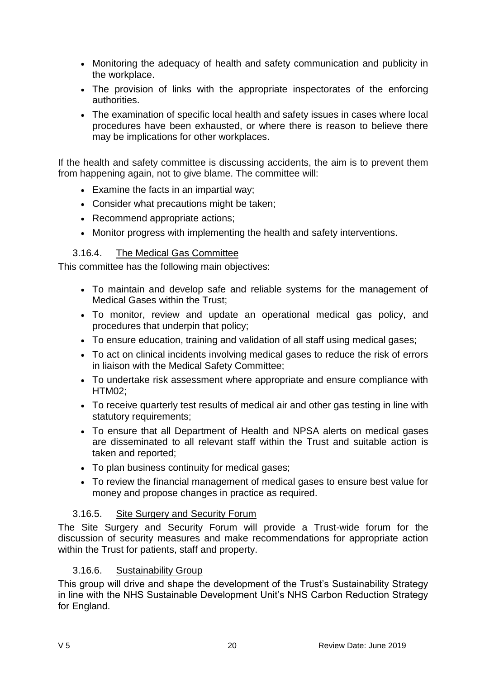- Monitoring the adequacy of health and safety communication and publicity in the workplace.
- The provision of links with the appropriate inspectorates of the enforcing authorities.
- The examination of specific local health and safety issues in cases where local procedures have been exhausted, or where there is reason to believe there may be implications for other workplaces.

If the health and safety committee is discussing accidents, the aim is to prevent them from happening again, not to give blame. The committee will:

- Examine the facts in an impartial way;
- Consider what precautions might be taken;
- Recommend appropriate actions;
- Monitor progress with implementing the health and safety interventions.

#### <span id="page-19-0"></span>3.16.4. The Medical Gas Committee

This committee has the following main objectives:

- To maintain and develop safe and reliable systems for the management of Medical Gases within the Trust;
- To monitor, review and update an operational medical gas policy, and procedures that underpin that policy;
- To ensure education, training and validation of all staff using medical gases;
- To act on clinical incidents involving medical gases to reduce the risk of errors in liaison with the Medical Safety Committee;
- To undertake risk assessment where appropriate and ensure compliance with HTM02;
- To receive quarterly test results of medical air and other gas testing in line with statutory requirements;
- To ensure that all Department of Health and NPSA alerts on medical gases are disseminated to all relevant staff within the Trust and suitable action is taken and reported;
- To plan business continuity for medical gases;
- To review the financial management of medical gases to ensure best value for money and propose changes in practice as required.

#### <span id="page-19-1"></span>3.16.5. Site Surgery and Security Forum

The Site Surgery and Security Forum will provide a Trust-wide forum for the discussion of security measures and make recommendations for appropriate action within the Trust for patients, staff and property.

#### <span id="page-19-2"></span>3.16.6. Sustainability Group

This group will drive and shape the development of the Trust's Sustainability Strategy in line with the NHS Sustainable Development Unit's NHS Carbon Reduction Strategy for England.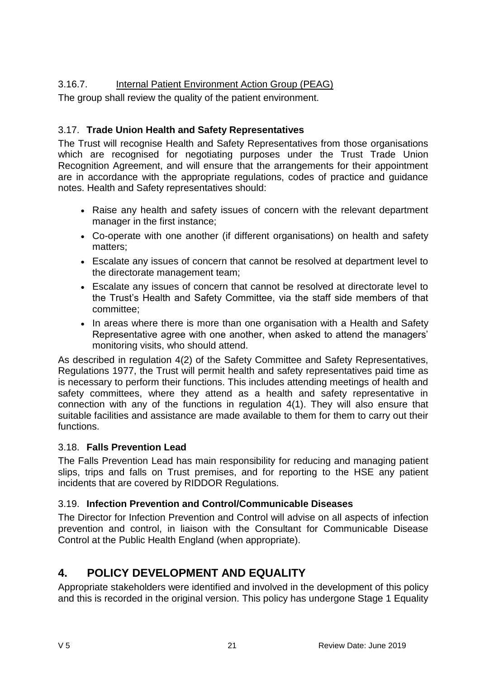# <span id="page-20-0"></span>3.16.7. Internal Patient Environment Action Group (PEAG)

The group shall review the quality of the patient environment.

# <span id="page-20-1"></span>3.17. **Trade Union Health and Safety Representatives**

The Trust will recognise Health and Safety Representatives from those organisations which are recognised for negotiating purposes under the Trust Trade Union Recognition Agreement, and will ensure that the arrangements for their appointment are in accordance with the appropriate regulations, codes of practice and guidance notes. Health and Safety representatives should:

- Raise any health and safety issues of concern with the relevant department manager in the first instance;
- Co-operate with one another (if different organisations) on health and safety matters;
- Escalate any issues of concern that cannot be resolved at department level to the directorate management team;
- Escalate any issues of concern that cannot be resolved at directorate level to the Trust's Health and Safety Committee, via the staff side members of that committee;
- In areas where there is more than one organisation with a Health and Safety Representative agree with one another, when asked to attend the managers' monitoring visits, who should attend.

As described in regulation 4(2) of the Safety Committee and Safety Representatives, Regulations 1977, the Trust will permit health and safety representatives paid time as is necessary to perform their functions. This includes attending meetings of health and safety committees, where they attend as a health and safety representative in connection with any of the functions in regulation 4(1). They will also ensure that suitable facilities and assistance are made available to them for them to carry out their functions.

# <span id="page-20-2"></span>3.18. **Falls Prevention Lead**

The Falls Prevention Lead has main responsibility for reducing and managing patient slips, trips and falls on Trust premises, and for reporting to the HSE any patient incidents that are covered by RIDDOR Regulations.

# <span id="page-20-3"></span>3.19. **Infection Prevention and Control/Communicable Diseases**

The Director for Infection Prevention and Control will advise on all aspects of infection prevention and control, in liaison with the Consultant for Communicable Disease Control at the Public Health England (when appropriate).

# <span id="page-20-4"></span>**4. POLICY DEVELOPMENT AND EQUALITY**

Appropriate stakeholders were identified and involved in the development of this policy and this is recorded in the original version. This policy has undergone Stage 1 Equality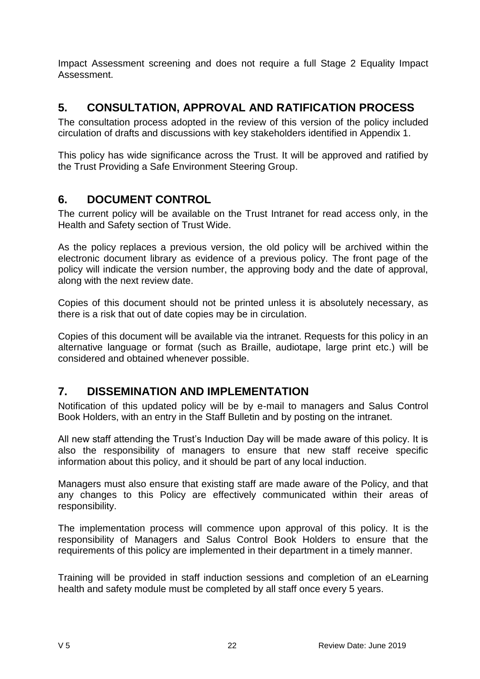Impact Assessment screening and does not require a full Stage 2 Equality Impact Assessment.

# <span id="page-21-0"></span>**5. CONSULTATION, APPROVAL AND RATIFICATION PROCESS**

The consultation process adopted in the review of this version of the policy included circulation of drafts and discussions with key stakeholders identified in Appendix 1.

This policy has wide significance across the Trust. It will be approved and ratified by the Trust Providing a Safe Environment Steering Group.

# <span id="page-21-1"></span>**6. DOCUMENT CONTROL**

The current policy will be available on the Trust Intranet for read access only, in the Health and Safety section of Trust Wide.

As the policy replaces a previous version, the old policy will be archived within the electronic document library as evidence of a previous policy. The front page of the policy will indicate the version number, the approving body and the date of approval, along with the next review date.

Copies of this document should not be printed unless it is absolutely necessary, as there is a risk that out of date copies may be in circulation.

Copies of this document will be available via the intranet. Requests for this policy in an alternative language or format (such as Braille, audiotape, large print etc.) will be considered and obtained whenever possible.

# <span id="page-21-2"></span>**7. DISSEMINATION AND IMPLEMENTATION**

Notification of this updated policy will be by e-mail to managers and Salus Control Book Holders, with an entry in the Staff Bulletin and by posting on the intranet.

All new staff attending the Trust's Induction Day will be made aware of this policy. It is also the responsibility of managers to ensure that new staff receive specific information about this policy, and it should be part of any local induction.

Managers must also ensure that existing staff are made aware of the Policy, and that any changes to this Policy are effectively communicated within their areas of responsibility.

The implementation process will commence upon approval of this policy. It is the responsibility of Managers and Salus Control Book Holders to ensure that the requirements of this policy are implemented in their department in a timely manner.

Training will be provided in staff induction sessions and completion of an eLearning health and safety module must be completed by all staff once every 5 years.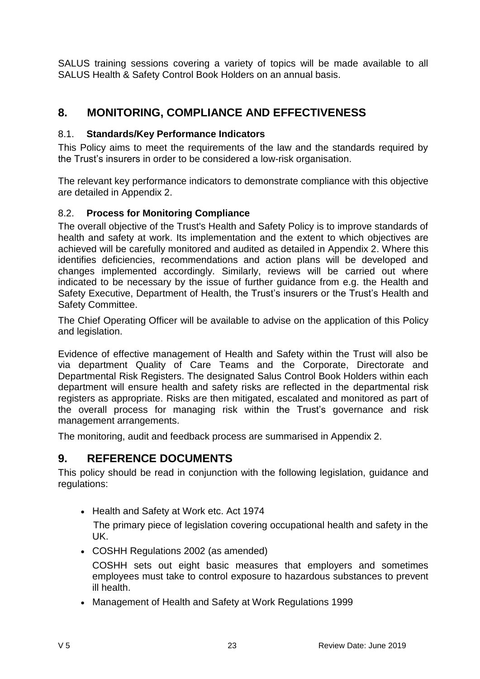SALUS training sessions covering a variety of topics will be made available to all SALUS Health & Safety Control Book Holders on an annual basis.

# <span id="page-22-0"></span>**8. MONITORING, COMPLIANCE AND EFFECTIVENESS**

# <span id="page-22-1"></span>8.1. **Standards/Key Performance Indicators**

This Policy aims to meet the requirements of the law and the standards required by the Trust's insurers in order to be considered a low-risk organisation.

The relevant key performance indicators to demonstrate compliance with this objective are detailed in Appendix 2.

# <span id="page-22-2"></span>8.2. **Process for Monitoring Compliance**

The overall objective of the Trust's Health and Safety Policy is to improve standards of health and safety at work. Its implementation and the extent to which objectives are achieved will be carefully monitored and audited as detailed in Appendix 2. Where this identifies deficiencies, recommendations and action plans will be developed and changes implemented accordingly. Similarly, reviews will be carried out where indicated to be necessary by the issue of further guidance from e.g. the Health and Safety Executive, Department of Health, the Trust's insurers or the Trust's Health and Safety Committee.

The Chief Operating Officer will be available to advise on the application of this Policy and legislation.

Evidence of effective management of Health and Safety within the Trust will also be via department Quality of Care Teams and the Corporate, Directorate and Departmental Risk Registers. The designated Salus Control Book Holders within each department will ensure health and safety risks are reflected in the departmental risk registers as appropriate. Risks are then mitigated, escalated and monitored as part of the overall process for managing risk within the Trust's governance and risk management arrangements.

The monitoring, audit and feedback process are summarised in Appendix 2.

# <span id="page-22-3"></span>**9. REFERENCE DOCUMENTS**

This policy should be read in conjunction with the following legislation, guidance and regulations:

• Health and Safety at Work etc. Act 1974

The primary piece of legislation covering occupational health and safety in the UK.

COSHH Regulations 2002 (as amended)

COSHH sets out eight basic measures that employers and sometimes employees must take to control exposure to hazardous substances to prevent ill health.

Management of Health and Safety at Work Regulations 1999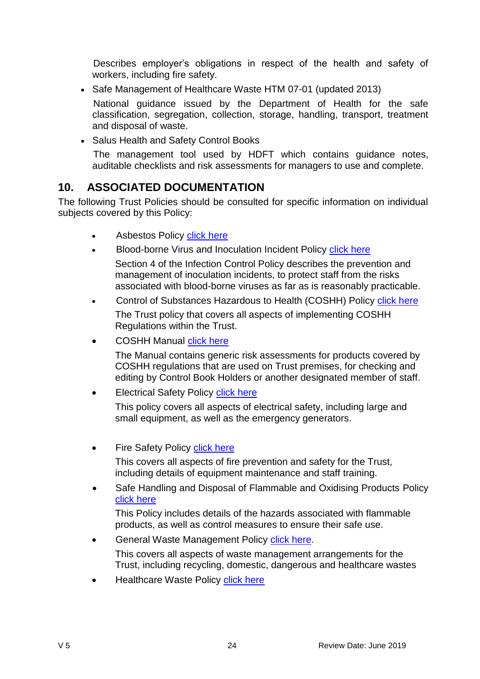Describes employer's obligations in respect of the health and safety of workers, including fire safety.

• Safe Management of Healthcare Waste HTM 07-01 (updated 2013)

National guidance issued by the Department of Health for the safe classification, segregation, collection, storage, handling, transport, treatment and disposal of waste.

• Salus Health and Safety Control Books

The management tool used by HDFT which contains guidance notes, auditable checklists and risk assessments for managers to use and complete.

# <span id="page-23-0"></span>**10. ASSOCIATED DOCUMENTATION**

The following Trust Policies should be consulted for specific information on individual subjects covered by this Policy:

- Asbestos Policy [click here](http://nww.hdft.nhs.uk/EasysiteWeb/getresource.axd?AssetID=5764&type=full&servicetype=Attachment)
- Blood-borne Virus and Inoculation Incident Policy [click here](http://nww.hdft.nhs.uk/document-search/?q=infection+control+policies)
- Section 4 of the Infection Control Policy describes the prevention and management of inoculation incidents, to protect staff from the risks associated with blood-borne viruses as far as is reasonably practicable.
- Control of Substances Hazardous to Health (COSHH) Policy [click here](http://nww.hdft.nhs.uk/document-search/?q=COSHH+Policy) The Trust policy that covers all aspects of implementing COSHH Regulations within the Trust.
- COSHH Manual [click here](http://nww.hdft.nhs.uk/corporate/department-of-governance/health-and-safety/cossh-manual/)

The Manual contains generic risk assessments for products covered by COSHH regulations that are used on Trust premises, for checking and editing by Control Book Holders or another designated member of staff.

• Electrical Safety Policy [click here](http://nww.hdft.nhs.uk/EasysiteWeb/getresource.axd?AssetID=44508&type=full&servicetype=Attachment)

This policy covers all aspects of electrical safety, including large and small equipment, as well as the emergency generators.

Fire Safety Policy [click here](http://nww.hdft.nhs.uk/document-search/?q=fire+safety+policy)

This covers all aspects of fire prevention and safety for the Trust, including details of equipment maintenance and staff training.

 Safe Handling and Disposal of Flammable and Oxidising Products Policy [click here](http://nww.hdft.nhs.uk/EasysiteWeb/getresource.axd?AssetID=40785&type=full&servicetype=Attachment)

This Policy includes details of the hazards associated with flammable products, as well as control measures to ensure their safe use.

• General Waste Management Policy [click here.](http://nww.hdft.nhs.uk/EasysiteWeb/getresource.axd?AssetID=12446&type=full&servicetype=Attachment)

This covers all aspects of waste management arrangements for the Trust, including recycling, domestic, dangerous and healthcare wastes

Healthcare Waste Policy [click here](http://nww.hdft.nhs.uk/document-search/?q=infection+control+policies)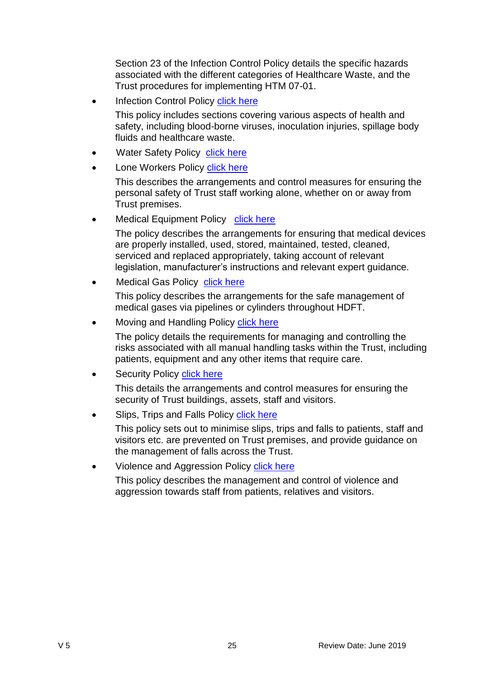Section 23 of the Infection Control Policy details the specific hazards associated with the different categories of Healthcare Waste, and the Trust procedures for implementing HTM 07-01.

- Infection Control Policy [click here](http://nww.hdft.nhs.uk/document-search/?q=infection+control+policies)
	- This policy includes sections covering various aspects of health and safety, including blood-borne viruses, inoculation injuries, spillage body fluids and healthcare waste.
- Water Safety Policy [click here](http://nww.hdft.nhs.uk/EasysiteWeb/getresource.axd?AssetID=15365&type=full&servicetype=Attachment)
- Lone Workers Policy [click here](http://nww.hdft.nhs.uk/document-search/?q=lone+workers+policy)

This describes the arrangements and control measures for ensuring the personal safety of Trust staff working alone, whether on or away from Trust premises.

Medical Equipment Policy [click here](http://nww.hdft.nhs.uk/EasysiteWeb/getresource.axd?AssetID=45736&type=full&servicetype=Attachment)

The policy describes the arrangements for ensuring that medical devices are properly installed, used, stored, maintained, tested, cleaned, serviced and replaced appropriately, taking account of relevant legislation, manufacturer's instructions and relevant expert guidance.

Medical Gas Policy [click here](http://nww.hdft.nhs.uk/EasysiteWeb/getresource.axd?AssetID=20555&type=full&servicetype=Attachment)

This policy describes the arrangements for the safe management of medical gases via pipelines or cylinders throughout HDFT.

Moving and Handling Policy [click here](http://nww.hdft.nhs.uk/document-search/?q=moving+and+handling+policy)

The policy details the requirements for managing and controlling the risks associated with all manual handling tasks within the Trust, including patients, equipment and any other items that require care.

Security Policy [click here](http://nww.hdft.nhs.uk/document-search/?q=security+policy)

This details the arrangements and control measures for ensuring the security of Trust buildings, assets, staff and visitors.

Slips, Trips and Falls Policy [click here](http://nww.hdft.nhs.uk/document-search/?q=slips%2C+trips+and+falls)

This policy sets out to minimise slips, trips and falls to patients, staff and visitors etc. are prevented on Trust premises, and provide guidance on the management of falls across the Trust.

• Violence and Aggression Policy [click here](http://nww.hdft.nhs.uk/document-search/?q=violence+and+aggression+policy)

This policy describes the management and control of violence and aggression towards staff from patients, relatives and visitors.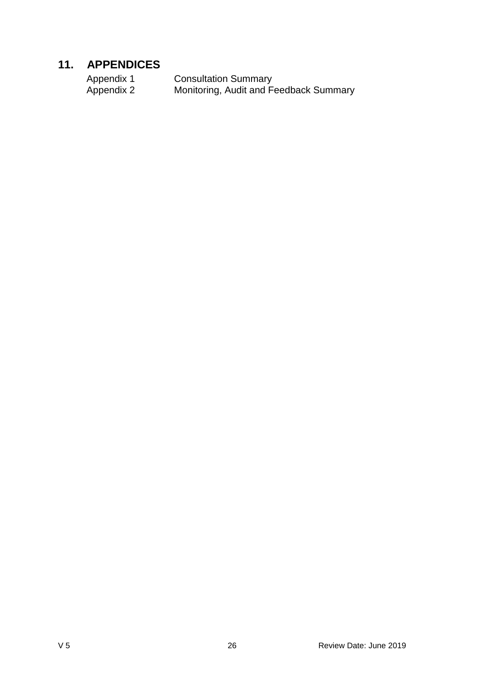# <span id="page-25-0"></span>**11. APPENDICES**

| Appendix 1 | <b>Consultation Summary</b>            |
|------------|----------------------------------------|
| Appendix 2 | Monitoring, Audit and Feedback Summary |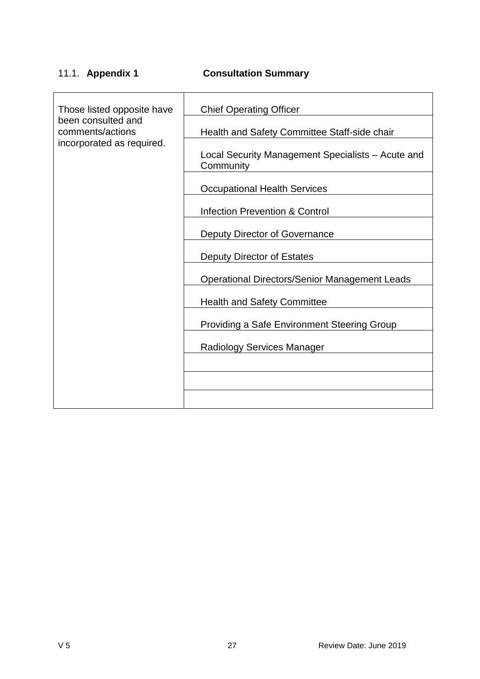# <span id="page-26-0"></span>11.1. **Appendix 1 Consultation Summary**

| Those listed opposite have             | <b>Chief Operating Officer</b>                                 |  |  |  |
|----------------------------------------|----------------------------------------------------------------|--|--|--|
| been consulted and<br>comments/actions | Health and Safety Committee Staff-side chair                   |  |  |  |
| incorporated as required.              | Local Security Management Specialists - Acute and<br>Community |  |  |  |
|                                        | <b>Occupational Health Services</b>                            |  |  |  |
|                                        | <b>Infection Prevention &amp; Control</b>                      |  |  |  |
|                                        | Deputy Director of Governance                                  |  |  |  |
|                                        | Deputy Director of Estates                                     |  |  |  |
|                                        | <b>Operational Directors/Senior Management Leads</b>           |  |  |  |
|                                        | <b>Health and Safety Committee</b>                             |  |  |  |
|                                        | <b>Providing a Safe Environment Steering Group</b>             |  |  |  |
|                                        | Radiology Services Manager                                     |  |  |  |
|                                        |                                                                |  |  |  |
|                                        |                                                                |  |  |  |
|                                        |                                                                |  |  |  |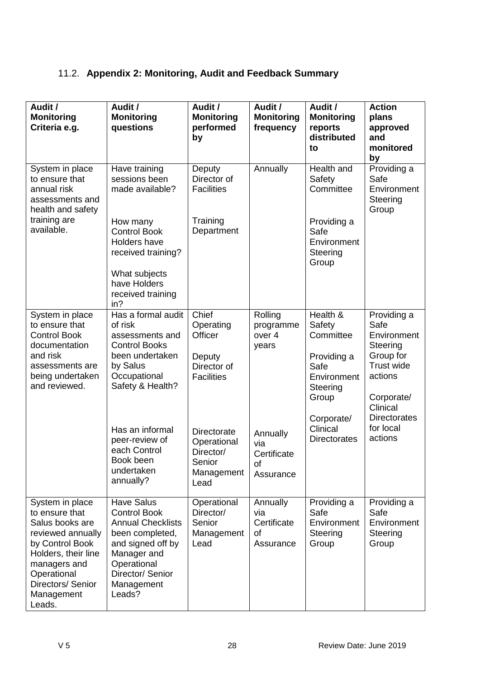# <span id="page-27-0"></span>11.2. **Appendix 2: Monitoring, Audit and Feedback Summary**

| Audit /<br><b>Monitoring</b><br>Criteria e.g.                                                                                                                                                   | Audit /<br><b>Monitoring</b><br>questions                                                                                                                                               | Audit /<br><b>Monitoring</b><br>performed<br>by                                                   | Audit /<br><b>Monitoring</b><br>frequency           | Audit /<br><b>Monitoring</b><br>reports<br>distributed<br>to                                                         | <b>Action</b><br>plans<br>approved<br>and<br>monitored<br>by                                                                                       |
|-------------------------------------------------------------------------------------------------------------------------------------------------------------------------------------------------|-----------------------------------------------------------------------------------------------------------------------------------------------------------------------------------------|---------------------------------------------------------------------------------------------------|-----------------------------------------------------|----------------------------------------------------------------------------------------------------------------------|----------------------------------------------------------------------------------------------------------------------------------------------------|
| System in place<br>to ensure that<br>annual risk<br>assessments and<br>health and safety<br>training are<br>available.                                                                          | Have training<br>sessions been<br>made available?<br>How many<br><b>Control Book</b><br>Holders have<br>received training?<br>What subjects<br>have Holders<br>received training<br>in? | Deputy<br>Director of<br><b>Facilities</b><br>Training<br>Department                              | Annually                                            | Health and<br>Safety<br>Committee<br>Providing a<br>Safe<br>Environment<br>Steering<br>Group                         | Providing a<br>Safe<br>Environment<br>Steering<br>Group                                                                                            |
| System in place<br>to ensure that<br><b>Control Book</b><br>documentation<br>and risk<br>assessments are<br>being undertaken<br>and reviewed.                                                   | Has a formal audit<br>of risk<br>assessments and<br><b>Control Books</b><br>been undertaken<br>by Salus<br>Occupational<br>Safety & Health?<br>Has an informal                          | Chief<br>Operating<br>Officer<br>Deputy<br>Director of<br><b>Facilities</b><br><b>Directorate</b> | Rolling<br>programme<br>over 4<br>years<br>Annually | Health &<br>Safety<br>Committee<br>Providing a<br>Safe<br>Environment<br>Steering<br>Group<br>Corporate/<br>Clinical | Providing a<br>Safe<br>Environment<br>Steering<br>Group for<br>Trust wide<br>actions<br>Corporate/<br>Clinical<br><b>Directorates</b><br>for local |
|                                                                                                                                                                                                 | peer-review of<br>each Control<br>Book been<br>undertaken<br>annually?                                                                                                                  | Operational<br>Director/<br>Senior<br>Management<br>Lead                                          | via<br>Certificate<br>οf<br>Assurance               | <b>Directorates</b>                                                                                                  | actions                                                                                                                                            |
| System in place<br>to ensure that<br>Salus books are<br>reviewed annually<br>by Control Book<br>Holders, their line<br>managers and<br>Operational<br>Directors/ Senior<br>Management<br>Leads. | <b>Have Salus</b><br><b>Control Book</b><br><b>Annual Checklists</b><br>been completed,<br>and signed off by<br>Manager and<br>Operational<br>Director/ Senior<br>Management<br>Leads?  | Operational<br>Director/<br>Senior<br>Management<br>Lead                                          | Annually<br>via<br>Certificate<br>οf<br>Assurance   | Providing a<br>Safe<br>Environment<br>Steering<br>Group                                                              | Providing a<br>Safe<br>Environment<br>Steering<br>Group                                                                                            |